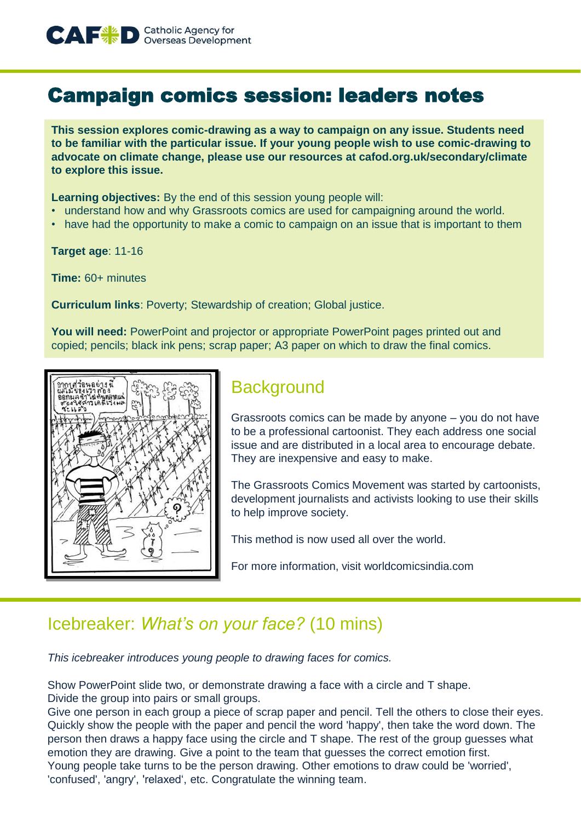

# Campaign comics session: leaders notes

**This session explores comic-drawing as a way to campaign on any issue. Students need to be familiar with the particular issue. If your young people wish to use comic-drawing to advocate on climate change, please use our resources at cafod.org.uk/secondary/climate to explore this issue.**

**Learning objectives:** By the end of this session young people will:

- understand how and why Grassroots comics are used for campaigning around the world.
- have had the opportunity to make a comic to campaign on an issue that is important to them

**Target age**: 11-16

**Time:** 60+ minutes

**Curriculum links**: Poverty; Stewardship of creation; Global justice.

**You will need:** PowerPoint and projector or appropriate PowerPoint pages printed out and copied; pencils; black ink pens; scrap paper; A3 paper on which to draw the final comics.



#### **Background**

Grassroots comics can be made by anyone – you do not have to be a professional cartoonist. They each address one social issue and are distributed in a local area to encourage debate. They are inexpensive and easy to make.

The Grassroots Comics Movement was started by cartoonists, development journalists and activists looking to use their skills to help improve society.

This method is now used all over the world.

For more information, visit worldcomicsindia.com

#### Icebreaker: *What's on your face?* (10 mins)

*This icebreaker introduces young people to drawing faces for comics.*

Show PowerPoint slide two, or demonstrate drawing a face with a circle and T shape. Divide the group into pairs or small groups.

Give one person in each group a piece of scrap paper and pencil. Tell the others to close their eyes. Quickly show the people with the paper and pencil the word 'happy', then take the word down. The person then draws a happy face using the circle and T shape. The rest of the group guesses what emotion they are drawing. Give a point to the team that guesses the correct emotion first. Young people take turns to be the person drawing. Other emotions to draw could be 'worried', 'confused', 'angry', 'relaxed', etc. Congratulate the winning team.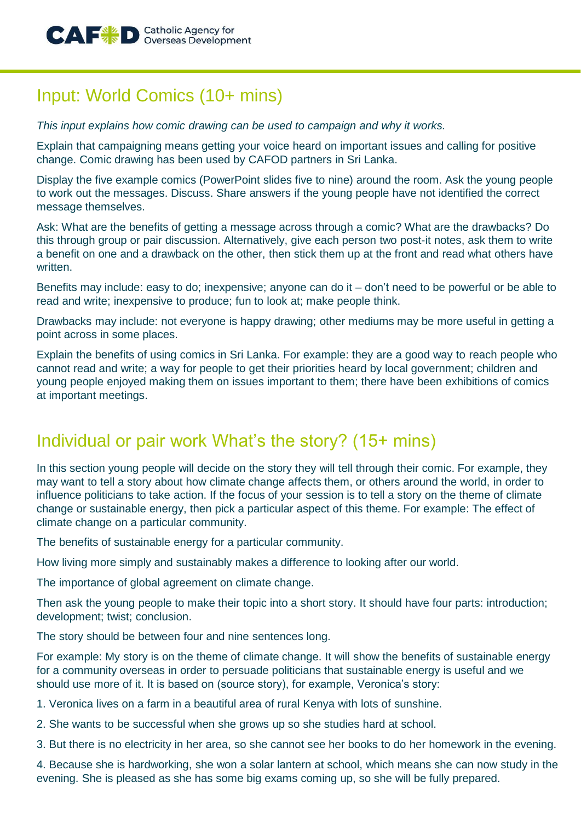

#### Input: World Comics (10+ mins)

*This input explains how comic drawing can be used to campaign and why it works.*

Explain that campaigning means getting your voice heard on important issues and calling for positive change. Comic drawing has been used by CAFOD partners in Sri Lanka.

Display the five example comics (PowerPoint slides five to nine) around the room. Ask the young people to work out the messages. Discuss. Share answers if the young people have not identified the correct message themselves.

Ask: What are the benefits of getting a message across through a comic? What are the drawbacks? Do this through group or pair discussion. Alternatively, give each person two post-it notes, ask them to write a benefit on one and a drawback on the other, then stick them up at the front and read what others have written.

Benefits may include: easy to do; inexpensive; anyone can do it – don't need to be powerful or be able to read and write; inexpensive to produce; fun to look at; make people think.

Drawbacks may include: not everyone is happy drawing; other mediums may be more useful in getting a point across in some places.

Explain the benefits of using comics in Sri Lanka. For example: they are a good way to reach people who cannot read and write; a way for people to get their priorities heard by local government; children and young people enjoyed making them on issues important to them; there have been exhibitions of comics at important meetings.

## Individual or pair work What's the story? (15+ mins)

In this section young people will decide on the story they will tell through their comic. For example, they may want to tell a story about how climate change affects them, or others around the world, in order to influence politicians to take action. If the focus of your session is to tell a story on the theme of climate change or sustainable energy, then pick a particular aspect of this theme. For example: The effect of climate change on a particular community.

The benefits of sustainable energy for a particular community.

How living more simply and sustainably makes a difference to looking after our world.

The importance of global agreement on climate change.

Then ask the young people to make their topic into a short story. It should have four parts: introduction; development; twist; conclusion.

The story should be between four and nine sentences long.

For example: My story is on the theme of climate change. It will show the benefits of sustainable energy for a community overseas in order to persuade politicians that sustainable energy is useful and we should use more of it. It is based on (source story), for example, Veronica's story:

1. Veronica lives on a farm in a beautiful area of rural Kenya with lots of sunshine.

2. She wants to be successful when she grows up so she studies hard at school.

3. But there is no electricity in her area, so she cannot see her books to do her homework in the evening.

4. Because she is hardworking, she won a solar lantern at school, which means she can now study in the evening. She is pleased as she has some big exams coming up, so she will be fully prepared.